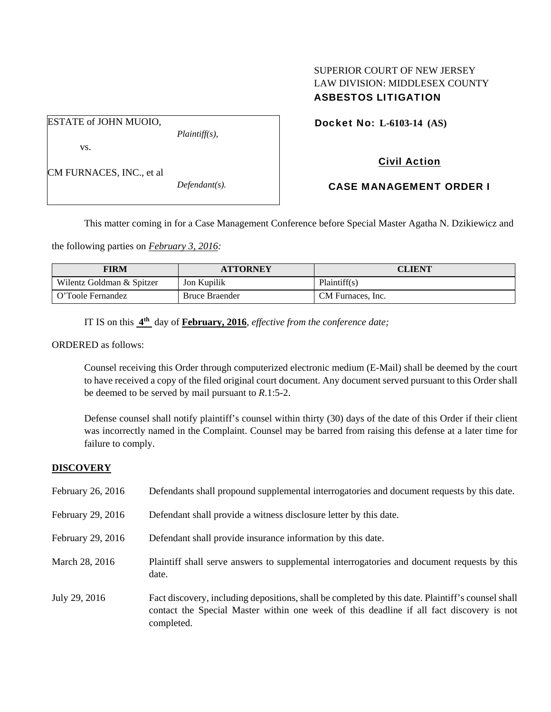# SUPERIOR COURT OF NEW JERSEY LAW DIVISION: MIDDLESEX COUNTY ASBESTOS LITIGATION

Docket No: **L-6103-14 (AS)** 

vs.

| CM FURNACES, INC., et al |  |
|--------------------------|--|
|--------------------------|--|

ESTATE of JOHN MUOIO,

*Defendant(s).* 

*Plaintiff(s),* 

CASE MANAGEMENT ORDER I

Civil Action

This matter coming in for a Case Management Conference before Special Master Agatha N. Dzikiewicz and

the following parties on *February 3, 2016:* 

| FIRM                      | <b>ATTORNEY</b>       | CLIENT            |
|---------------------------|-----------------------|-------------------|
| Wilentz Goldman & Spitzer | Jon Kupilik           | Plaintiff(s)      |
| O'Toole Fernandez         | <b>Bruce Braender</b> | CM Furnaces, Inc. |

IT IS on this **4th** day of **February, 2016**, *effective from the conference date;*

ORDERED as follows:

Counsel receiving this Order through computerized electronic medium (E-Mail) shall be deemed by the court to have received a copy of the filed original court document. Any document served pursuant to this Order shall be deemed to be served by mail pursuant to *R*.1:5-2.

Defense counsel shall notify plaintiff's counsel within thirty (30) days of the date of this Order if their client was incorrectly named in the Complaint. Counsel may be barred from raising this defense at a later time for failure to comply.

## **DISCOVERY**

| February 26, 2016 | Defendants shall propound supplemental interrogatories and document requests by this date.                                                                                                                  |
|-------------------|-------------------------------------------------------------------------------------------------------------------------------------------------------------------------------------------------------------|
| February 29, 2016 | Defendant shall provide a witness disclosure letter by this date.                                                                                                                                           |
| February 29, 2016 | Defendant shall provide insurance information by this date.                                                                                                                                                 |
| March 28, 2016    | Plaintiff shall serve answers to supplemental interrogatories and document requests by this<br>date.                                                                                                        |
| July 29, 2016     | Fact discovery, including depositions, shall be completed by this date. Plaintiff's counsel shall<br>contact the Special Master within one week of this deadline if all fact discovery is not<br>completed. |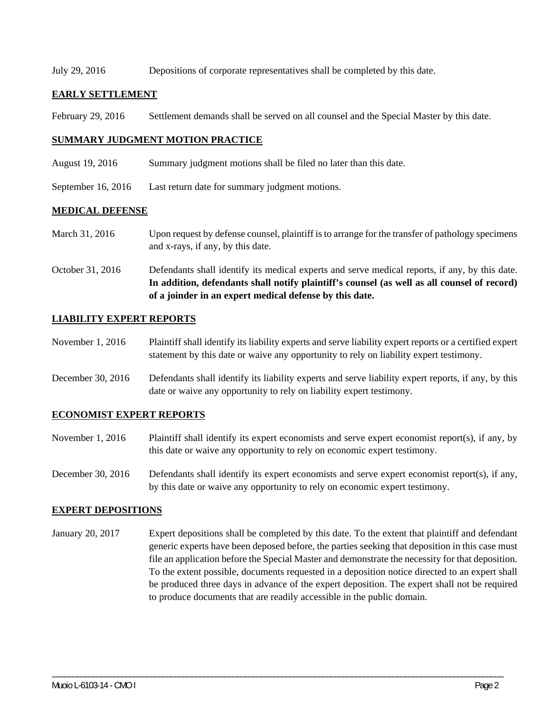July 29, 2016 Depositions of corporate representatives shall be completed by this date.

### **EARLY SETTLEMENT**

February 29, 2016 Settlement demands shall be served on all counsel and the Special Master by this date.

#### **SUMMARY JUDGMENT MOTION PRACTICE**

- August 19, 2016 Summary judgment motions shall be filed no later than this date.
- September 16, 2016 Last return date for summary judgment motions.

#### **MEDICAL DEFENSE**

- March 31, 2016 Upon request by defense counsel, plaintiff is to arrange for the transfer of pathology specimens and x-rays, if any, by this date.
- October 31, 2016 Defendants shall identify its medical experts and serve medical reports, if any, by this date. **In addition, defendants shall notify plaintiff's counsel (as well as all counsel of record) of a joinder in an expert medical defense by this date.**

### **LIABILITY EXPERT REPORTS**

- November 1, 2016 Plaintiff shall identify its liability experts and serve liability expert reports or a certified expert statement by this date or waive any opportunity to rely on liability expert testimony.
- December 30, 2016 Defendants shall identify its liability experts and serve liability expert reports, if any, by this date or waive any opportunity to rely on liability expert testimony.

## **ECONOMIST EXPERT REPORTS**

- November 1, 2016 Plaintiff shall identify its expert economists and serve expert economist report(s), if any, by this date or waive any opportunity to rely on economic expert testimony.
- December 30, 2016 Defendants shall identify its expert economists and serve expert economist report(s), if any, by this date or waive any opportunity to rely on economic expert testimony.

#### **EXPERT DEPOSITIONS**

January 20, 2017 Expert depositions shall be completed by this date. To the extent that plaintiff and defendant generic experts have been deposed before, the parties seeking that deposition in this case must file an application before the Special Master and demonstrate the necessity for that deposition. To the extent possible, documents requested in a deposition notice directed to an expert shall be produced three days in advance of the expert deposition. The expert shall not be required to produce documents that are readily accessible in the public domain.

\_\_\_\_\_\_\_\_\_\_\_\_\_\_\_\_\_\_\_\_\_\_\_\_\_\_\_\_\_\_\_\_\_\_\_\_\_\_\_\_\_\_\_\_\_\_\_\_\_\_\_\_\_\_\_\_\_\_\_\_\_\_\_\_\_\_\_\_\_\_\_\_\_\_\_\_\_\_\_\_\_\_\_\_\_\_\_\_\_\_\_\_\_\_\_\_\_\_\_\_\_\_\_\_\_\_\_\_\_\_